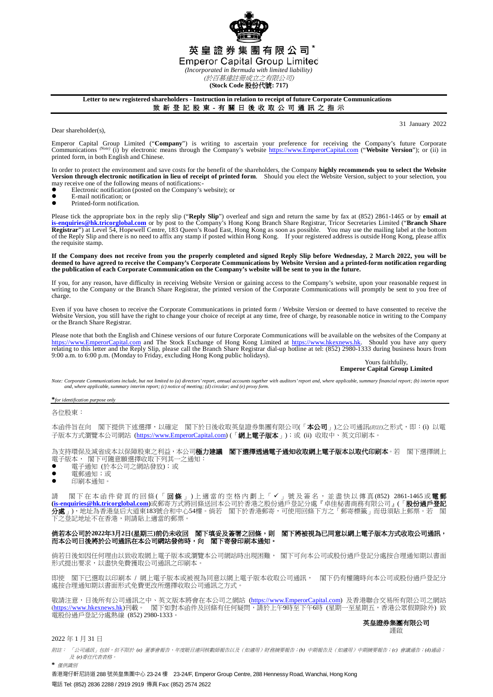

# 英皇證券集團有限公司\*

**Emperor Capital Group Limited** 

*(Incorporated in Bermuda with limited liability)* (於百慕達註冊成立之有限公司)

**(Stock Code** 股份代號**: 717)**

## **Letter to new registered shareholders - Instruction in relation to receipt of future Corporate Communications**

致 新 登 記 股 東 - 有 關 日 後 收 取 公 司 通 訊 之 指 示

31 January 2022

Dear shareholder(s),

Emperor Capital Group Limited ("**Company**") is writing to ascertain your preference for receiving the Company's future Corporate Company's future Corporate Communications (Note) (i) by electronic means through the Company' printed form, in both English and Chinese.

In order to protect the environment and save costs for the benefit of the shareholders, the Company **highly recommends you to select the Website**<br>Version through electronic notification in lieu of receipt of printed form.

- may receive one of the following means of notifications:<br>• Electronic notification (posted on the Company's  $\bullet$  Electronic notification (posted on the Company's website); or
- $\bullet$  E-mail notification; or
- Printed-form notification.

Please tick the appropriate box in the reply slip ("**Reply Slip**") overleaf and sign and return the same by fax at (852) 2861-1465 or by **email at [is-enquiries@hk.tricorglobal.com](mailto:is-enquiries@hk.tricorglobal.com)** or by post to the Company's Hong Kong Branch Share Registrar, Tricor Secretaries Limited ("**Branch Share Registrar**") at Level 54, Hopewell Centre, 183 Queen's Road East, Hong Kong as soon as possible. You may use the mailing label at the bottom<br>of the Reply Slip and there is no need to affix any stamp if posted within Hong the requisite stamp.

**If the Company does not receive from you the properly completed and signed Reply Slip before Wednesday, 2 March 2022, you will be deemed to have agreed to receive the Company's Corporate Communications by Website Version and a printed-form notification regarding the publication of each Corporate Communication on the Company's website will be sent to you in the future.**

If you, for any reason, have difficulty in receiving Website Version or gaining access to the Company's website, upon your reasonable request in writing to the Company or the Branch Share Registrar, the printed version of the Corporate Communications will promptly be sent to you free of charge.

Even if you have chosen to receive the Corporate Communications in printed form / Website Version or deemed to have consented to receive the Website Version, you still have the right to change your choice of receipt at any time, free of charge, by reasonable notice in writing to the Company or the Branch Share Registrar.

Please note that both the English and Chinese versions of our future Corporate Communications will be available on the websites of the Company at [https://www.EmperorCapital.com](https://www.emperorcapital.com/) and The Stock Exchange of Hong Kong Limited at [https://www.hkexnews.hk.](https://www.hkexnews.hk/) Should you have any query<br>relating to this letter and the Reply Slip, please call the Branch Share Registrar dial-up ho

#### Yours faithfully, **Emperor Capital Group Limited**

Note: Corporate Communications include, but not limited to (a) directors' report, annual accounts together with auditors' report and, where applicable, summary financial report; (b) interim report *and, where applicable, summary interim report; (c) notice of meeting; (d) circular; and (e) proxy form.*

**\****for identification purpose only*

各位股東:

本函件旨在向 閣下提供下述選擇,以確定 閣下於日後收取英皇證券集團有限公司(「**本公司**」)之公司通訊(*附註*)之形式,即:(i) 以電 子版本方式瀏覽本公司網站 [\(https://www.EmperorCapital.com\)](https://www.emperorcapital.com/) (「網上電子版本」);或 (ii) 收取中、英文印刷本

為支持環保及減省成本以保障股東之利益,本公司**極力建議 閣下選擇透過電子通知收取網上電子版本以取代印刷本**。若 閣下選擇網上 電子版本, 閣下可隨意願選擇收取下列其一之通知:

- 電子通知 (於本公司之網站發放);或
- 電郵通知;或
- 印刷本通知。

請 閣下在本函件背頁的回條(「回條」)上適當的空格內劃上「✔」號及簽名,並盡快以傳真(852) 2861-1465或電郵 **[\(is-enquiries@hk.tricorglobal.com\)](mailto:is-enquiries@hk.tricorglobal.com)**或郵寄方式將回條送回本公司於香港之股份過戶登記分處『卓佳秘書商務有限公司』(「股份過戶登記 分處」),地址為香港皇后大道東183號合和中心54樓。倘若 閣下於香港郵寄,可使用回條下方之「郵寄標籤」而毋須貼上郵票。若 閣 下之登記地址不在香港,則請貼上適當的郵票。

## 倘若本公司於**2022**年**3**月**2**日**(**星期三**)**前仍未收回 閣下填妥及簽署之回條,則 閣下將被視為已同意以網上電子版本方式收取公司通訊, 而本公司日後將於公司通訊在本公司網站發佈時,向 閣下寄發印刷本通知。

倘若日後如因任何理由以致收取網上電子版本或瀏覽本公司網站時出現困難, 閣下可向本公司或股份過戶登記分處按合理通知期以書面 形式提出要求,以盡快免費獲取公司通訊之印刷本。

即使 閣下已選取以印刷本 / 網上電子版本或被視為同意以網上電子版本收取公司通訊, 閣下仍有權隨時向本公司或股份過戶登記分 處按合理通知期以書面形式免費更改所選擇收取公司通訊之方式。

敬請注意,日後所有公司通訊之中、英文版本將會在本公司之網站 (<u>https://www.EmperorCapital.com</u>) 及香港聯合交易所有限公司之網站 (<u>https://www.hkexnews.hk</u>)刊載。 閣下如對本函件及回條有任何疑問,請於上午9時至下午6時 (星期一至星期五,香港公眾假期除外) 致 電股份過戶登記分處熱線 (852) 2980-1333。

#### 英皇證券集團有限公司 謹啟

### 2022 年 1 月 31 日

附註: 「公司通訊」包括,但不限於 *(a)* 董事會報告、年度賬目連同核數師報告以及(如適用)財務摘要報告;*(b)* 中期報告及(如適用)中期摘要報告;*(c)* 會議通告;*(d)*通函; 及 *(e)*委任代表表格。 **\*** 僅供識別

香港灣仔軒尼詩道 288 號英皇集團中心 23-24 樓 23-24/F, Emperor Group Centre, 288 Hennessy Road, Wanchai, Hong Kong 電話 Tel: (852) 2836 2288 / 2919 2919 傳真 Fax: (852) 2574 2622